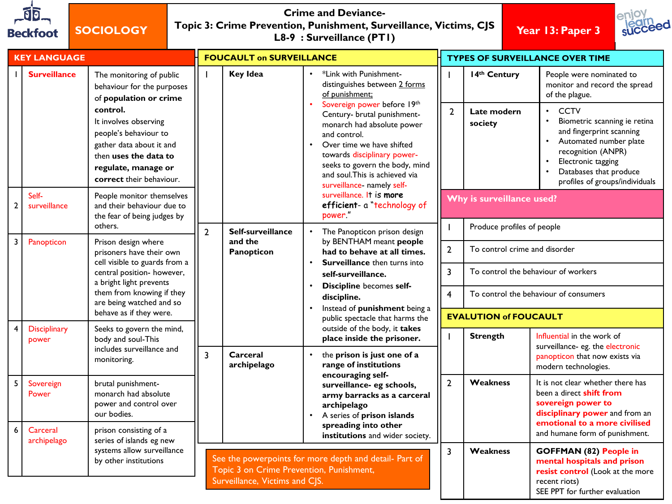| গি       |  |
|----------|--|
| Beckfoot |  |

**SOCIOLOGY**

## **Crime and Deviance-Topic 3: Crime Prevention, Punishment, Surveillance, Victims, CJS L8-9 : Surveillance (PT1) Year 13: Paper 3**



| <b>KEY LANGUAGE</b> |                                              | <b>FOUCAULT on SURVEILLANCE</b>                                                                                                                                                                                                                                                                                   |                                                                                                                                                                         | <b>TYPES OF SURVEILLANCE OVER TIME</b> |                                                                                                                                                                                                                                                                                                                                                                                                                                          |                                     |                                                                                                                                               |                                                                                                                                                                                                                                                                                          |  |
|---------------------|----------------------------------------------|-------------------------------------------------------------------------------------------------------------------------------------------------------------------------------------------------------------------------------------------------------------------------------------------------------------------|-------------------------------------------------------------------------------------------------------------------------------------------------------------------------|----------------------------------------|------------------------------------------------------------------------------------------------------------------------------------------------------------------------------------------------------------------------------------------------------------------------------------------------------------------------------------------------------------------------------------------------------------------------------------------|-------------------------------------|-----------------------------------------------------------------------------------------------------------------------------------------------|------------------------------------------------------------------------------------------------------------------------------------------------------------------------------------------------------------------------------------------------------------------------------------------|--|
| $\overline{2}$      | <b>Surveillance</b><br>Self-<br>surveillance | The monitoring of public<br>behaviour for the purposes<br>of population or crime<br>control.<br>It involves observing<br>people's behaviour to<br>gather data about it and<br>then uses the data to<br>regulate, manage or<br>correct their behaviour.<br>People monitor themselves<br>and their behaviour due to |                                                                                                                                                                         | <b>Key Idea</b>                        | *Link with Punishment-<br>$\bullet$<br>distinguishes between 2 forms<br>of punishment;<br>Sovereign power before 19th<br>Century- brutal punishment-<br>monarch had absolute power<br>and control.<br>Over time we have shifted<br>$\bullet$<br>towards disciplinary power-<br>seeks to govern the body, mind<br>and soul. This is achieved via<br>surveillance- namely self-<br>surveillance. It is more<br>efficient- a "technology of | $\mathbf{I}$<br>$\overline{2}$      | 14th Century<br>Late modern<br>society<br>Why is surveillance used?                                                                           | People were nominated to<br>monitor and record the spread<br>of the plague.<br><b>CCTV</b><br>Biometric scanning ie retina<br>and fingerprint scanning<br>Automated number plate<br>recognition (ANPR)<br>Electronic tagging<br>Databases that produce<br>profiles of groups/individuals |  |
|                     |                                              | the fear of being judges by<br>others.                                                                                                                                                                                                                                                                            | $\overline{2}$                                                                                                                                                          | Self-surveillance                      | power."                                                                                                                                                                                                                                                                                                                                                                                                                                  | $\mathbf{I}$                        | Produce profiles of people                                                                                                                    |                                                                                                                                                                                                                                                                                          |  |
| 3                   | Panopticon                                   | Prison design where<br>prisoners have their own<br>cell visible to guards from a<br>central position- however,<br>a bright light prevents<br>them from knowing if they<br>are being watched and so<br>behave as if they were.                                                                                     |                                                                                                                                                                         | and the<br>Panopticon                  | $\bullet$<br>The Panopticon prison design<br>by BENTHAM meant people<br>had to behave at all times.<br>Surveillance then turns into<br>self-surveillance.<br>Discipline becomes self-<br>discipline.<br>Instead of punishment being a<br>public spectacle that harms the                                                                                                                                                                 | $\mathbf{2}$<br>3<br>$\overline{4}$ | To control crime and disorder<br>To control the behaviour of workers<br>To control the behaviour of consumers<br><b>EVALUTION of FOUCAULT</b> |                                                                                                                                                                                                                                                                                          |  |
| $\overline{4}$      | <b>Disciplinary</b><br>power                 | Seeks to govern the mind,<br>body and soul-This<br>includes surveillance and<br>monitoring.                                                                                                                                                                                                                       | $\overline{3}$                                                                                                                                                          | Carceral<br>archipelago                | outside of the body, it takes<br>place inside the prisoner.<br>$\bullet$<br>the prison is just one of a<br>range of institutions                                                                                                                                                                                                                                                                                                         | $\mathbf{I}$                        | <b>Strength</b>                                                                                                                               | Influential in the work of<br>surveillance- eg. the electronic<br>panopticon that now exists via<br>modern technologies.                                                                                                                                                                 |  |
| 5<br>6              | Sovereign<br>Power<br>Carceral               | brutal punishment-<br>monarch had absolute<br>power and control over<br>our bodies.<br>prison consisting of a                                                                                                                                                                                                     |                                                                                                                                                                         |                                        | encouraging self-<br>surveillance- eg schools,<br>army barracks as a carceral<br>archipelago<br>A series of prison islands<br>$\bullet$<br>spreading into other                                                                                                                                                                                                                                                                          | $\mathbf{2}$                        | Weakness                                                                                                                                      | It is not clear whether there has<br>been a direct <b>shift from</b><br>sovereign power to<br>disciplinary power and from an<br>emotional to a more civilised                                                                                                                            |  |
|                     | archipelago                                  | series of islands eg new<br>systems allow surveillance<br>by other institutions                                                                                                                                                                                                                                   | institutions and wider society.<br>See the powerpoints for more depth and detail- Part of<br>Topic 3 on Crime Prevention, Punishment,<br>Surveillance, Victims and CJS. |                                        |                                                                                                                                                                                                                                                                                                                                                                                                                                          | 3                                   | <b>Weakness</b>                                                                                                                               | and humane form of punishment.<br><b>GOFFMAN (82) People in</b><br>mental hospitals and prison<br>resist control (Look at the more<br>recent riots)<br>SEE PPT for further evaluation                                                                                                    |  |